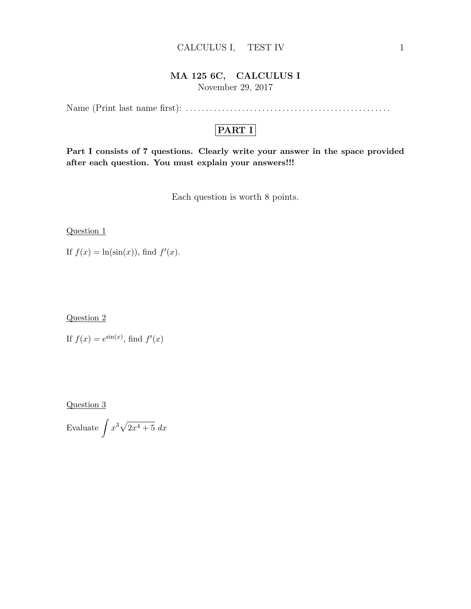#### CALCULUS I, TEST IV 1

## MA 125 6C, CALCULUS I

November 29, 2017

Name (Print last name first): . . . . . . . . . . . . . . . . . . . . . . . . . . . . . . . . . . . . . . . . . . . . . . . . . . .

## PART I

Part I consists of 7 questions. Clearly write your answer in the space provided after each question. You must explain your answers!!!

Each question is worth 8 points.

Question 1

If  $f(x) = \ln(\sin(x))$ , find  $f'(x)$ .

Question 2

If  $f(x) = e^{\sin(x)}$ , find  $f'(x)$ 

Question 3

Evaluate  $\int x^3 \sqrt{2x^4 + 5} dx$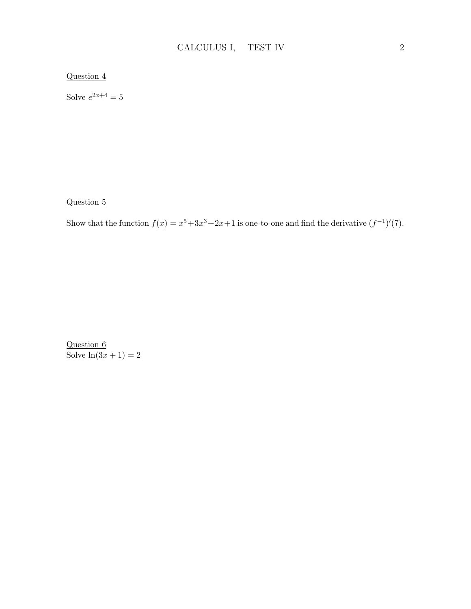#### Question 4

Solve  $e^{2x+4} = 5$ 

Question 5

Show that the function  $f(x) = x^5 + 3x^3 + 2x + 1$  is one-to-one and find the derivative  $(f^{-1})'(7)$ .

Question 6 Solve  $\ln(3x+1) = 2$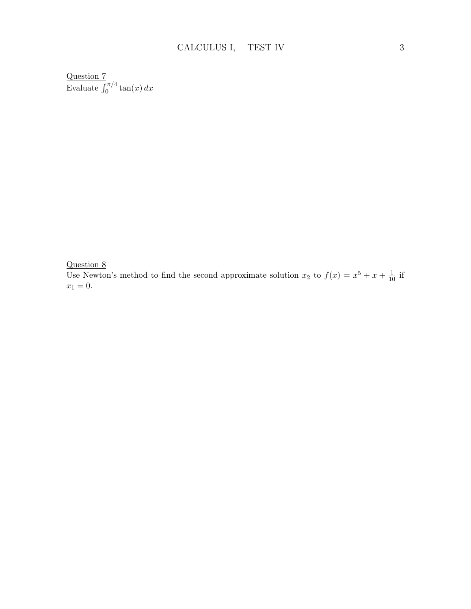Question 7 Evaluate  $\int_0^{\pi/4} \tan(x) dx$ 

Question 8

Use Newton's method to find the second approximate solution  $x_2$  to  $f(x) = x^5 + x + \frac{1}{10}$  if  $x_1 = 0.$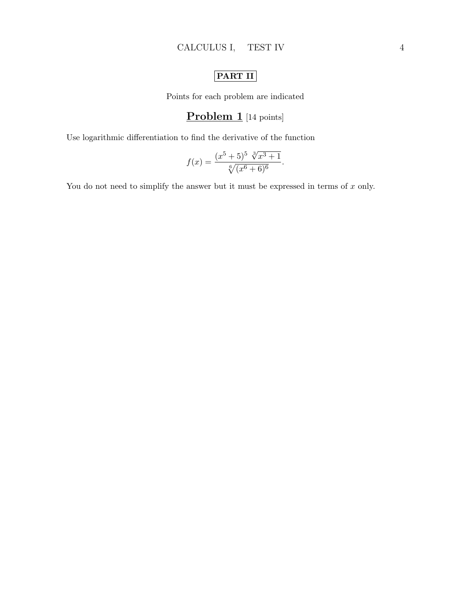# PART II

Points for each problem are indicated

### Problem 1 [14 points]

Use logarithmic differentiation to find the derivative of the function

$$
f(x) = \frac{(x^5 + 5)^5 \sqrt[3]{x^3 + 1}}{\sqrt[6]{(x^6 + 6)^6}}.
$$

You do not need to simplify the answer but it must be expressed in terms of  $x$  only.